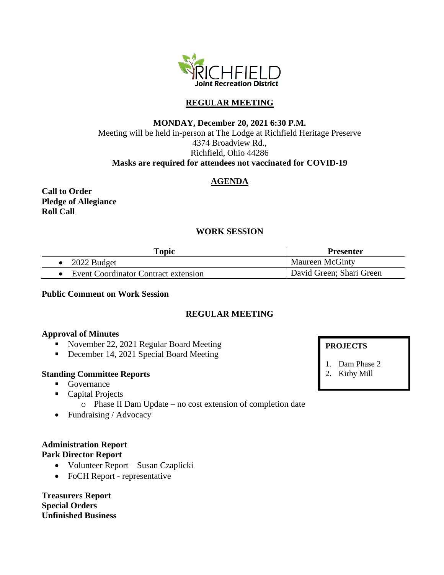

# **REGULAR MEETING**

# **MONDAY, December 20, 2021 6:30 P.M.** Meeting will be held in-person at The Lodge at Richfield Heritage Preserve 4374 Broadview Rd., Richfield, Ohio 44286 **Masks are required for attendees not vaccinated for COVID-19**

# **AGENDA**

**Call to Order Pledge of Allegiance Roll Call**

# **WORK SESSION**

| <b>Topic</b>                         | <b>Presenter</b>         |
|--------------------------------------|--------------------------|
| 2022 Budget                          | <b>Maureen McGinty</b>   |
| Event Coordinator Contract extension | David Green; Shari Green |

#### **Public Comment on Work Session**

### **REGULAR MEETING**

#### **Approval of Minutes**

- November 22, 2021 Regular Board Meeting
- December 14, 2021 Special Board Meeting

### **Standing Committee Reports**

- Governance
- Capital Projects
	- o Phase II Dam Update no cost extension of completion date
- Fundraising / Advocacy

#### **Administration Report Park Director Report**

- Volunteer Report Susan Czaplicki
- FoCH Report representative

**Treasurers Report Special Orders Unfinished Business**

### **PROJECTS**

- 1. Dam Phase 2
- 2. Kirby Mill